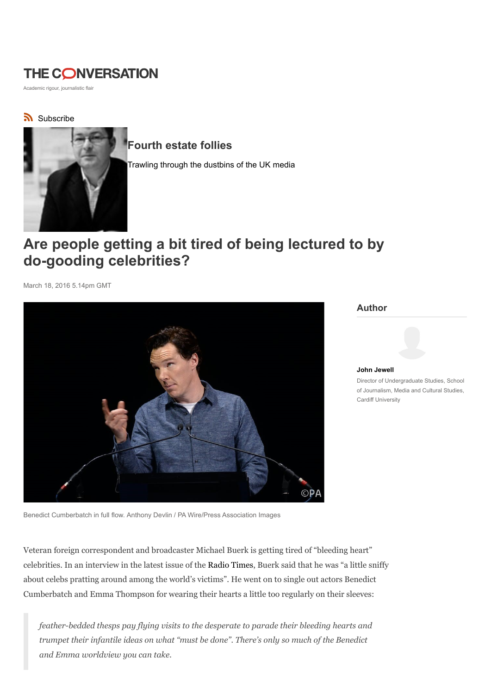# **THE CONVERSATION**

Academic rigour, journalistic flair

### Subscribe



## Fourth estate follies

Trawling through the dustbins of the UK media

# Are people getting a bit tired of being lectured to by do-gooding celebrities?

March 18, 2016 5.14pm GMT



Author



John Jewell Director of Undergraduate Studies, School of Journalism, Media and Cultural Studies, Cardiff University

Benedict Cumberbatch in full flow. Anthony Devlin / PA Wire/Press Association Images

Veteran foreign correspondent and broadcaster Michael Buerk is getting tired of "bleeding heart" celebrities. In an interview in the latest issue of the Radio Times, Buerk said that he was "a little sniffy about celebs pratting around among the world's victims". He went on to single out actors Benedict Cumberbatch and Emma Thompson for wearing their hearts a little too regularly on their sleeves:

feather-bedded thesps pay flying visits to the desperate to parade their bleeding hearts and trumpet their infantile ideas on what "must be done". There's only so much of the Benedict and Emma worldview you can take.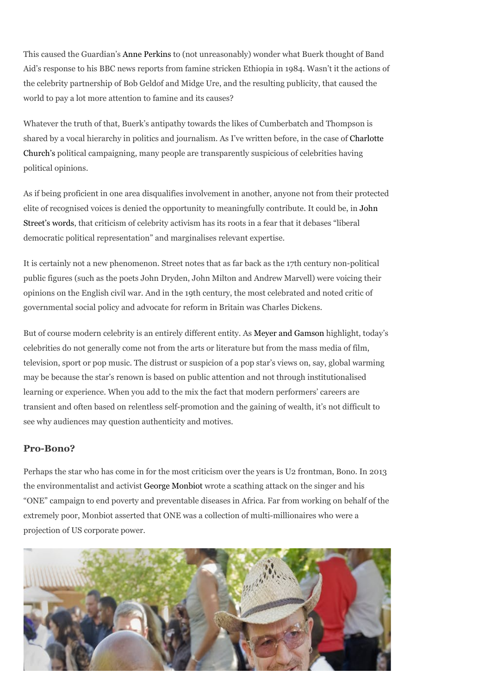This caused the Guardian's Anne Perkins to (not unreasonably) wonder what Buerk thought of Band Aid's response to his BBC news reports from famine stricken Ethiopia in 1984. Wasn't it the actions of the celebrity partnership of Bob Geldof and Midge Ure, and the resulting publicity, that caused the world to pay a lot more attention to famine and its causes?

Whatever the truth of that, Buerk's antipathy towards the likes of Cumberbatch and Thompson is shared by a vocal hierarchy in politics and journalism. As I've written before, in the case of Charlotte Church's political campaigning, many people are transparently suspicious of celebrities having political opinions.

As if being proficient in one area disqualifies involvement in another, anyone not from their protected elite of recognised voices is denied the opportunity to meaningfully contribute. It could be, in John Street's words, that criticism of celebrity activism has its roots in a fear that it debases "liberal democratic political representation" and marginalises relevant expertise.

It is certainly not a new phenomenon. Street notes that as far back as the 17th century non-political public figures (such as the poets John Dryden, John Milton and Andrew Marvell) were voicing their opinions on the English civil war. And in the 19th century, the most celebrated and noted critic of governmental social policy and advocate for reform in Britain was Charles Dickens.

But of course modern celebrity is an entirely different entity. As Meyer and Gamson highlight, today's celebrities do not generally come not from the arts or literature but from the mass media of film, television, sport or pop music. The distrust or suspicion of a pop star's views on, say, global warming may be because the star's renown is based on public attention and not through institutionalised learning or experience. When you add to the mix the fact that modern performers' careers are transient and often based on relentless self-promotion and the gaining of wealth, it's not difficult to see why audiences may question authenticity and motives.

#### Pro-Bono?

Perhaps the star who has come in for the most criticism over the years is U2 frontman, Bono. In 2013 the environmentalist and activist George Monbiot wrote a scathing attack on the singer and his "ONE" campaign to end poverty and preventable diseases in Africa. Far from working on behalf of the extremely poor, Monbiot asserted that ONE was a collection of multi-millionaires who were a projection of US corporate power.

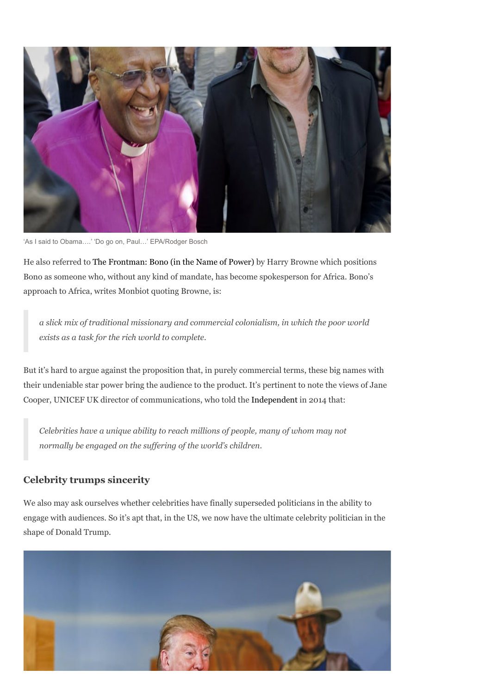

'As I said to Obama….' 'Do go on, Paul…' EPA/Rodger Bosch

He also referred to The Frontman: Bono (in the Name of Power) by Harry Browne which positions Bono as someone who, without any kind of mandate, has become spokesperson for Africa. Bono's approach to Africa, writes Monbiot quoting Browne, is:

a slick mix of traditional missionary and commercial colonialism, in which the poor world exists as a task for the rich world to complete.

But it's hard to argue against the proposition that, in purely commercial terms, these big names with their undeniable star power bring the audience to the product. It's pertinent to note the views of Jane Cooper, UNICEF UK director of communications, who told the Independent in 2014 that:

Celebrities have a unique ability to reach millions of people, many of whom may not normally be engaged on the suffering of the world's children.

#### Celebrity trumps sincerity

We also may ask ourselves whether celebrities have finally superseded politicians in the ability to engage with audiences. So it's apt that, in the US, we now have the ultimate celebrity politician in the shape of Donald Trump.